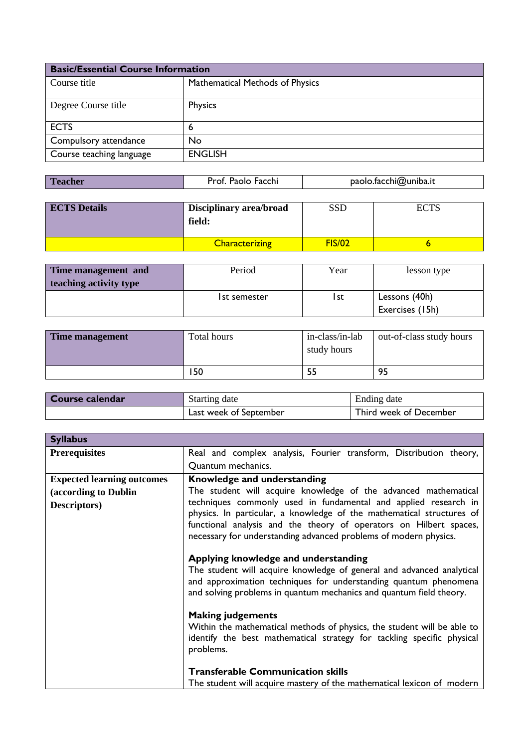| <b>Basic/Essential Course Information</b> |                                 |  |
|-------------------------------------------|---------------------------------|--|
| Course title                              | Mathematical Methods of Physics |  |
| Degree Course title                       | Physics                         |  |
| <b>ECTS</b>                               | 6                               |  |
| Compulsory attendance                     | No                              |  |
| Course teaching language                  | <b>ENGLISH</b>                  |  |

| <b>Teacher</b><br>paolo.facchi@uniba.it<br>Prof. Paolo Facchi |  |  |  |
|---------------------------------------------------------------|--|--|--|
|---------------------------------------------------------------|--|--|--|

| <b>ECTS</b> Details | <b>Disciplinary area/broad</b><br>field: | SSD           |  |
|---------------------|------------------------------------------|---------------|--|
|                     | <b>Characterizing</b>                    | <b>FIS/02</b> |  |

| Time management and    | Period       | Year | lesson type     |
|------------------------|--------------|------|-----------------|
| teaching activity type |              |      |                 |
|                        | 1st semester | l st | Lessons (40h)   |
|                        |              |      | Exercises (15h) |

| Time management | Total hours | in-class/in-lab<br>study hours | out-of-class study hours |
|-----------------|-------------|--------------------------------|--------------------------|
|                 | 150         |                                | 95                       |

| Course calendar | Starting date          | Ending date            |
|-----------------|------------------------|------------------------|
|                 | Last week of September | Third week of December |

| <b>Syllabus</b>                   |                                                                                                                                                                                                                                                                                    |
|-----------------------------------|------------------------------------------------------------------------------------------------------------------------------------------------------------------------------------------------------------------------------------------------------------------------------------|
| <b>Prerequisites</b>              | Real and complex analysis, Fourier transform, Distribution theory,                                                                                                                                                                                                                 |
|                                   | Quantum mechanics.                                                                                                                                                                                                                                                                 |
| <b>Expected learning outcomes</b> | Knowledge and understanding                                                                                                                                                                                                                                                        |
| (according to Dublin              | The student will acquire knowledge of the advanced mathematical                                                                                                                                                                                                                    |
| <b>Descriptors</b> )              | techniques commonly used in fundamental and applied research in<br>physics. In particular, a knowledge of the mathematical structures of<br>functional analysis and the theory of operators on Hilbert spaces,<br>necessary for understanding advanced problems of modern physics. |
|                                   | Applying knowledge and understanding<br>The student will acquire knowledge of general and advanced analytical<br>and approximation techniques for understanding quantum phenomena<br>and solving problems in quantum mechanics and quantum field theory.                           |
|                                   | <b>Making judgements</b><br>Within the mathematical methods of physics, the student will be able to<br>identify the best mathematical strategy for tackling specific physical<br>problems.                                                                                         |
|                                   | <b>Transferable Communication skills</b>                                                                                                                                                                                                                                           |
|                                   | The student will acquire mastery of the mathematical lexicon of modern                                                                                                                                                                                                             |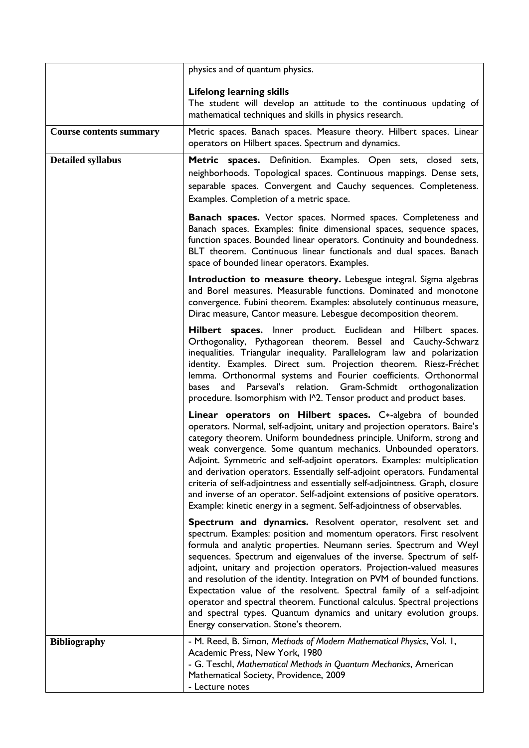|                                | physics and of quantum physics.                                                                                                                                                                                                                                                                                                                                                                                                                                                                                                                                                                                                                                                                              |
|--------------------------------|--------------------------------------------------------------------------------------------------------------------------------------------------------------------------------------------------------------------------------------------------------------------------------------------------------------------------------------------------------------------------------------------------------------------------------------------------------------------------------------------------------------------------------------------------------------------------------------------------------------------------------------------------------------------------------------------------------------|
|                                | <b>Lifelong learning skills</b><br>The student will develop an attitude to the continuous updating of<br>mathematical techniques and skills in physics research.                                                                                                                                                                                                                                                                                                                                                                                                                                                                                                                                             |
| <b>Course contents summary</b> | Metric spaces. Banach spaces. Measure theory. Hilbert spaces. Linear<br>operators on Hilbert spaces. Spectrum and dynamics.                                                                                                                                                                                                                                                                                                                                                                                                                                                                                                                                                                                  |
| <b>Detailed syllabus</b>       | Metric spaces. Definition. Examples. Open sets, closed sets,<br>neighborhoods. Topological spaces. Continuous mappings. Dense sets,<br>separable spaces. Convergent and Cauchy sequences. Completeness.<br>Examples. Completion of a metric space.                                                                                                                                                                                                                                                                                                                                                                                                                                                           |
|                                | <b>Banach spaces.</b> Vector spaces. Normed spaces. Completeness and<br>Banach spaces. Examples: finite dimensional spaces, sequence spaces,<br>function spaces. Bounded linear operators. Continuity and boundedness.<br>BLT theorem. Continuous linear functionals and dual spaces. Banach<br>space of bounded linear operators. Examples.                                                                                                                                                                                                                                                                                                                                                                 |
|                                | Introduction to measure theory. Lebesgue integral. Sigma algebras<br>and Borel measures. Measurable functions. Dominated and monotone<br>convergence. Fubini theorem. Examples: absolutely continuous measure,<br>Dirac measure, Cantor measure. Lebesgue decomposition theorem.                                                                                                                                                                                                                                                                                                                                                                                                                             |
|                                | Hilbert spaces. Inner product. Euclidean and Hilbert spaces.<br>Orthogonality, Pythagorean theorem. Bessel and Cauchy-Schwarz<br>inequalities. Triangular inequality. Parallelogram law and polarization<br>identity. Examples. Direct sum. Projection theorem. Riesz-Fréchet<br>lemma. Orthonormal systems and Fourier coefficients. Orthonormal<br>and Parseval's relation. Gram-Schmidt orthogonalization<br>bases<br>procedure. Isomorphism with I^2. Tensor product and product bases.                                                                                                                                                                                                                  |
|                                | Linear operators on Hilbert spaces. C*-algebra of bounded<br>operators. Normal, self-adjoint, unitary and projection operators. Baire's<br>category theorem. Uniform boundedness principle. Uniform, strong and<br>weak convergence. Some quantum mechanics. Unbounded operators.<br>Adjoint. Symmetric and self-adjoint operators. Examples: multiplication<br>and derivation operators. Essentially self-adjoint operators. Fundamental<br>criteria of self-adjointness and essentially self-adjointness. Graph, closure<br>and inverse of an operator. Self-adjoint extensions of positive operators.<br>Example: kinetic energy in a segment. Self-adjointness of observables.                           |
|                                | Spectrum and dynamics. Resolvent operator, resolvent set and<br>spectrum. Examples: position and momentum operators. First resolvent<br>formula and analytic properties. Neumann series. Spectrum and Weyl<br>sequences. Spectrum and eigenvalues of the inverse. Spectrum of self-<br>adjoint, unitary and projection operators. Projection-valued measures<br>and resolution of the identity. Integration on PVM of bounded functions.<br>Expectation value of the resolvent. Spectral family of a self-adjoint<br>operator and spectral theorem. Functional calculus. Spectral projections<br>and spectral types. Quantum dynamics and unitary evolution groups.<br>Energy conservation. Stone's theorem. |
| <b>Bibliography</b>            | - M. Reed, B. Simon, Methods of Modern Mathematical Physics, Vol. 1,<br>Academic Press, New York, 1980<br>- G. Teschl, Mathematical Methods in Quantum Mechanics, American<br>Mathematical Society, Providence, 2009                                                                                                                                                                                                                                                                                                                                                                                                                                                                                         |
|                                | - Lecture notes                                                                                                                                                                                                                                                                                                                                                                                                                                                                                                                                                                                                                                                                                              |